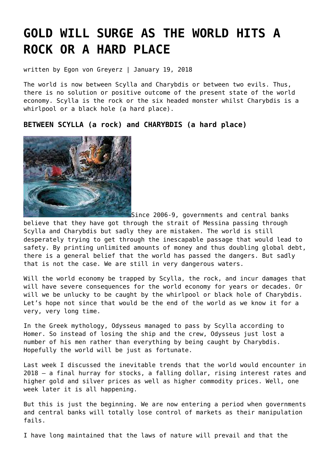# **[GOLD WILL SURGE AS THE WORLD HITS A](https://goldswitzerland.com/gold-will-surge-as-the-world-hits-a-rock-or-a-hard-place/) [ROCK OR A HARD PLACE](https://goldswitzerland.com/gold-will-surge-as-the-world-hits-a-rock-or-a-hard-place/)**

written by Egon von Greyerz | January 19, 2018

The world is now between Scylla and Charybdis or between two evils. Thus, there is no solution or positive outcome of the present state of the world economy. Scylla is the rock or the six headed monster whilst Charybdis is a whirlpool or a black hole (a hard place).

**BETWEEN SCYLLA (a rock) and CHARYBDIS (a hard place)**



Since 2006-9, governments and central banks

believe that they have got through the strait of Messina passing through Scylla and Charybdis but sadly they are mistaken. The world is still desperately trying to get through the inescapable passage that would lead to safety. By printing unlimited amounts of money and thus doubling global debt, there is a general belief that the world has passed the dangers. But sadly that is not the case. We are still in very dangerous waters.

Will the world economy be trapped by Scylla, the rock, and incur damages that will have severe consequences for the world economy for years or decades. Or will we be unlucky to be caught by the whirlpool or black hole of Charybdis. Let's hope not since that would be the end of the world as we know it for a very, very long time.

In the Greek mythology, Odysseus managed to pass by Scylla according to Homer. So instead of losing the ship and the crew, Odysseus just lost a number of his men rather than everything by being caught by Charybdis. Hopefully the world will be just as fortunate.

[Last week](https://goldswitzerland.com/as-sisyphus-fails-gold-will-ascend/) I discussed the inevitable trends that the world would encounter in 2018 – a final hurray for stocks, a falling dollar, rising interest rates and higher gold and silver prices as well as higher commodity prices. Well, one week later it is all happening.

But this is just the beginning. We are now entering a period when governments and central banks will totally lose control of markets as their manipulation fails.

I have long maintained that the laws of nature will prevail and that the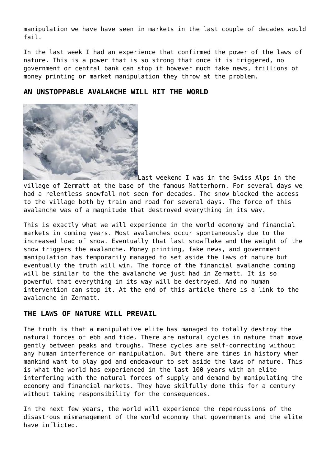manipulation we have have seen in markets in the last couple of decades would fail.

In the last week I had an experience that confirmed the power of the laws of nature. This is a power that is so strong that once it is triggered, no government or central bank can stop it however much fake news, trillions of money printing or market manipulation they throw at the problem.

# **AN UNSTOPPABLE AVALANCHE WILL HIT THE WORLD**



Last weekend I was in the Swiss Alps in the village of Zermatt at the base of the famous Matterhorn. For several days we had a relentless snowfall not seen for decades. The snow blocked the access to the village both by train and road for several days. The force of this avalanche was of a magnitude that destroyed everything in its way.

This is exactly what we will experience in the world economy and financial markets in coming years. Most avalanches occur spontaneously due to the increased load of snow. Eventually that last snowflake and the weight of the snow triggers the avalanche. Money printing, fake news, and government manipulation has temporarily managed to set aside the laws of nature but eventually the truth will win. The force of the financial avalanche coming will be similar to the the avalanche we just had in Zermatt. It is so powerful that everything in its way will be destroyed. And no human intervention can stop it. At the end of this article there is a link to the avalanche in Zermatt.

## **THE LAWS OF NATURE WILL PREVAIL**

The truth is that a manipulative elite has managed to totally destroy the natural forces of ebb and tide. There are natural cycles in nature that move gently between peaks and troughs. These cycles are self-correcting without any human interference or manipulation. But there are times in history when mankind want to play god and endeavour to set aside the laws of nature. This is what the world has experienced in the last 100 years with an elite interfering with the natural forces of supply and demand by manipulating the economy and financial markets. They have skilfully done this for a century without taking responsibility for the consequences.

In the next few years, the world will experience the repercussions of the disastrous mismanagement of the world economy that governments and the elite have inflicted.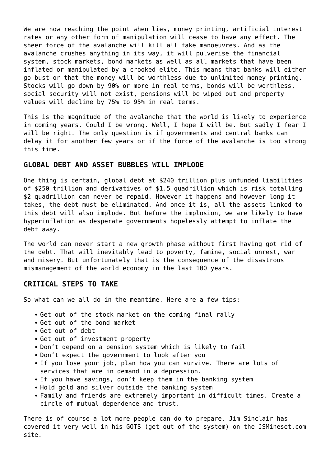We are now reaching the point when lies, money printing, artificial interest rates or any other form of manipulation will cease to have any effect. The sheer force of the avalanche will kill all fake manoeuvres. And as the avalanche crushes anything in its way, it will pulverise the financial system, stock markets, bond markets as well as all markets that have been inflated or manipulated by a crooked elite. This means that banks will either go bust or that the money will be worthless due to unlimited money printing. Stocks will go down by 90% or more in real terms, bonds will be worthless, social security will not exist, pensions will be wiped out and property values will decline by 75% to 95% in real terms.

This is the magnitude of the avalanche that the world is likely to experience in coming years. Could I be wrong. Well, I hope I will be. But sadly I fear I will be right. The only question is if governments and central banks can delay it for another few years or if the force of the avalanche is too strong this time.

### **GLOBAL DEBT AND ASSET BUBBLES WILL IMPLODE**

One thing is certain, global debt at \$240 trillion plus unfunded liabilities of \$250 trillion and derivatives of \$1.5 quadrillion which is risk totalling \$2 quadrillion can never be repaid. However it happens and however long it takes, the debt must be eliminated. And once it is, all the assets linked to this debt will also implode. But before the implosion, we are likely to have hyperinflation as desperate governments hopelessly attempt to inflate the debt away.

The world can never start a new growth phase without first having got rid of the debt. That will inevitably lead to poverty, famine, social unrest, war and misery. But unfortunately that is the consequence of the disastrous mismanagement of the world economy in the last 100 years.

#### **CRITICAL STEPS TO TAKE**

So what can we all do in the meantime. Here are a few tips:

- Get out of the stock market on the coming final rally
- Get out of the bond market
- Get out of debt
- Get out of investment property
- Don't depend on a pension system which is likely to fail
- Don't expect the government to look after you
- If you lose your job, plan how you can survive. There are lots of services that are in demand in a depression.
- If you have savings, don't keep them in the banking system
- Hold gold and silver outside the banking system
- Family and friends are extremely important in difficult times. Create a circle of mutual dependence and trust.

There is of course a lot more people can do to prepare. Jim Sinclair has covered it very well in his GOTS (get out of the system) on the JSMineset.com site.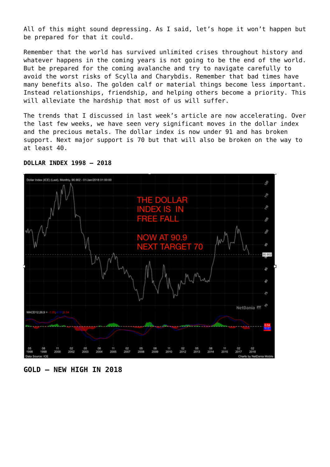All of this might sound depressing. As I said, let's hope it won't happen but be prepared for that it could.

Remember that the world has survived unlimited crises throughout history and whatever happens in the coming years is not going to be the end of the world. But be prepared for the coming avalanche and try to navigate carefully to avoid the worst risks of Scylla and Charybdis. Remember that bad times have many benefits also. The golden calf or material things become less important. Instead relationships, friendship, and helping others become a priority. This will alleviate the hardship that most of us will suffer.

The trends that I discussed in last week's article are now accelerating. Over the last few weeks, we have seen very significant moves in the dollar index and the precious metals. The dollar index is now under 91 and has broken support. Next major support is 70 but that will also be broken on the way to at least 40.



#### **DOLLAR INDEX 1998 – 2018**

**GOLD – NEW HIGH IN 2018**